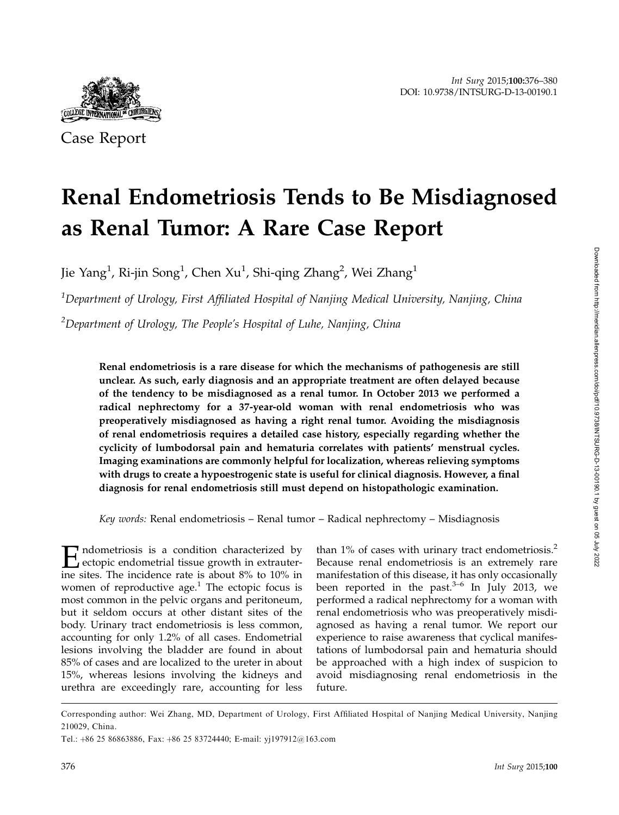

Case Report

# Renal Endometriosis Tends to Be Misdiagnosed as Renal Tumor: A Rare Case Report

Jie Yang $^1$ , Ri-jin Song $^1$ , Chen Xu $^1$ , Shi-qing Zhang $^2$ , Wei Zhang $^1$ 

 $^{\rm 1}$ Department of Urology, First Affiliated Hospital of Nanjing Medical University, Nanjing, China

 $^2$ Department of Urology, The People's Hospital of Luhe, Nanjing, China

Renal endometriosis is a rare disease for which the mechanisms of pathogenesis are still unclear. As such, early diagnosis and an appropriate treatment are often delayed because of the tendency to be misdiagnosed as a renal tumor. In October 2013 we performed a radical nephrectomy for a 37-year-old woman with renal endometriosis who was preoperatively misdiagnosed as having a right renal tumor. Avoiding the misdiagnosis of renal endometriosis requires a detailed case history, especially regarding whether the cyclicity of lumbodorsal pain and hematuria correlates with patients' menstrual cycles. Imaging examinations are commonly helpful for localization, whereas relieving symptoms with drugs to create a hypoestrogenic state is useful for clinical diagnosis. However, a final diagnosis for renal endometriosis still must depend on histopathologic examination.

Key words: Renal endometriosis – Renal tumor – Radical nephrectomy – Misdiagnosis

Endometriosis is a condition characterized by<br>ectopic endometrial tissue growth in extrauter-<br>ine sites. The incidence rate is about 8% to 10% in ine sites. The incidence rate is about 8% to 10% in women of reproductive age. $<sup>1</sup>$  The ectopic focus is</sup> most common in the pelvic organs and peritoneum, but it seldom occurs at other distant sites of the body. Urinary tract endometriosis is less common, accounting for only 1.2% of all cases. Endometrial lesions involving the bladder are found in about 85% of cases and are localized to the ureter in about 15%, whereas lesions involving the kidneys and urethra are exceedingly rare, accounting for less

than  $1\%$  of cases with urinary tract endometriosis.<sup>2</sup> Because renal endometriosis is an extremely rare manifestation of this disease, it has only occasionally been reported in the past. $3-6$  In July 2013, we performed a radical nephrectomy for a woman with renal endometriosis who was preoperatively misdiagnosed as having a renal tumor. We report our experience to raise awareness that cyclical manifestations of lumbodorsal pain and hematuria should be approached with a high index of suspicion to avoid misdiagnosing renal endometriosis in the future.

Corresponding author: Wei Zhang, MD, Department of Urology, First Affiliated Hospital of Nanjing Medical University, Nanjing 210029, China.

Tel.: +86 25 86863886, Fax: +86 25 83724440; E-mail: yj197912@163.com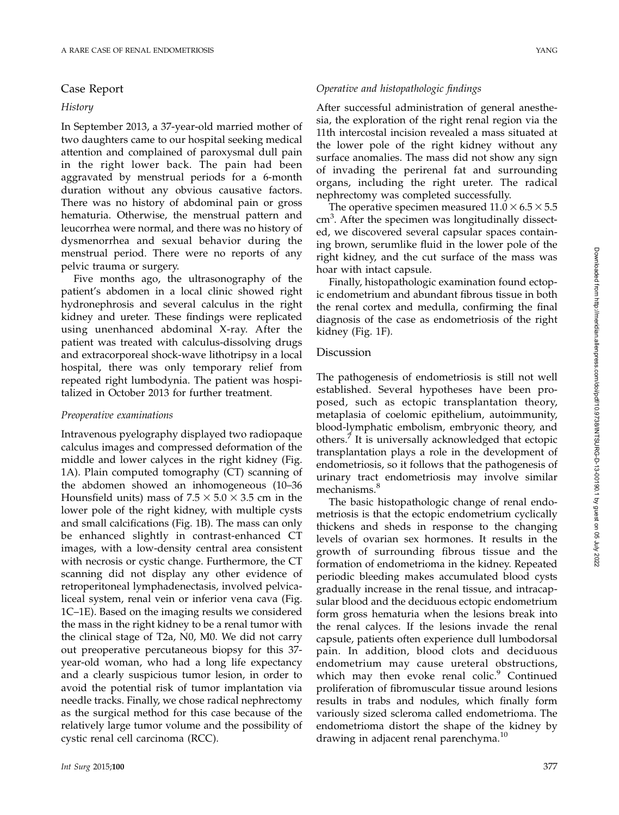## Case Report

#### **History**

In September 2013, a 37-year-old married mother of two daughters came to our hospital seeking medical attention and complained of paroxysmal dull pain in the right lower back. The pain had been aggravated by menstrual periods for a 6-month duration without any obvious causative factors. There was no history of abdominal pain or gross hematuria. Otherwise, the menstrual pattern and leucorrhea were normal, and there was no history of dysmenorrhea and sexual behavior during the menstrual period. There were no reports of any pelvic trauma or surgery.

Five months ago, the ultrasonography of the patient's abdomen in a local clinic showed right hydronephrosis and several calculus in the right kidney and ureter. These findings were replicated using unenhanced abdominal X-ray. After the patient was treated with calculus-dissolving drugs and extracorporeal shock-wave lithotripsy in a local hospital, there was only temporary relief from repeated right lumbodynia. The patient was hospitalized in October 2013 for further treatment.

#### Preoperative examinations

Intravenous pyelography displayed two radiopaque calculus images and compressed deformation of the middle and lower calyces in the right kidney (Fig. 1A). Plain computed tomography (CT) scanning of the abdomen showed an inhomogeneous (10–36 Hounsfield units) mass of  $7.5 \times 5.0 \times 3.5$  cm in the lower pole of the right kidney, with multiple cysts and small calcifications (Fig. 1B). The mass can only be enhanced slightly in contrast-enhanced CT images, with a low-density central area consistent with necrosis or cystic change. Furthermore, the CT scanning did not display any other evidence of retroperitoneal lymphadenectasis, involved pelvicaliceal system, renal vein or inferior vena cava (Fig. 1C–1E). Based on the imaging results we considered the mass in the right kidney to be a renal tumor with the clinical stage of T2a, N0, M0. We did not carry out preoperative percutaneous biopsy for this 37 year-old woman, who had a long life expectancy and a clearly suspicious tumor lesion, in order to avoid the potential risk of tumor implantation via needle tracks. Finally, we chose radical nephrectomy as the surgical method for this case because of the relatively large tumor volume and the possibility of cystic renal cell carcinoma (RCC).

## Operative and histopathologic findings

After successful administration of general anesthesia, the exploration of the right renal region via the 11th intercostal incision revealed a mass situated at the lower pole of the right kidney without any surface anomalies. The mass did not show any sign of invading the perirenal fat and surrounding organs, including the right ureter. The radical nephrectomy was completed successfully.

The operative specimen measured  $11.0 \times 6.5 \times 5.5$  $\text{cm}^3$ . After the specimen was longitudinally dissected, we discovered several capsular spaces containing brown, serumlike fluid in the lower pole of the right kidney, and the cut surface of the mass was hoar with intact capsule.

Finally, histopathologic examination found ectopic endometrium and abundant fibrous tissue in both the renal cortex and medulla, confirming the final diagnosis of the case as endometriosis of the right kidney (Fig. 1F).

#### Discussion

The pathogenesis of endometriosis is still not well established. Several hypotheses have been proposed, such as ectopic transplantation theory, metaplasia of coelomic epithelium, autoimmunity, blood-lymphatic embolism, embryonic theory, and others.<sup>7</sup> It is universally acknowledged that ectopic transplantation plays a role in the development of endometriosis, so it follows that the pathogenesis of urinary tract endometriosis may involve similar mechanisms.<sup>8</sup>

The basic histopathologic change of renal endometriosis is that the ectopic endometrium cyclically thickens and sheds in response to the changing levels of ovarian sex hormones. It results in the growth of surrounding fibrous tissue and the formation of endometrioma in the kidney. Repeated periodic bleeding makes accumulated blood cysts gradually increase in the renal tissue, and intracapsular blood and the deciduous ectopic endometrium form gross hematuria when the lesions break into the renal calyces. If the lesions invade the renal capsule, patients often experience dull lumbodorsal pain. In addition, blood clots and deciduous endometrium may cause ureteral obstructions, which may then evoke renal colic.<sup>9</sup> Continued proliferation of fibromuscular tissue around lesions results in trabs and nodules, which finally form variously sized scleroma called endometrioma. The endometrioma distort the shape of the kidney by drawing in adjacent renal parenchyma.<sup>10</sup>

Downloaded from http://meridian.allenpress.com/doi/pdf/10.9738/INTSURG-D-13-00190.1 by guest on 05 July 2022 Downloaded from http://meridian.allenpress.com/doi/pdf/10.9738/INTSURG-D-13-00190.1 by guest on 05 July 2022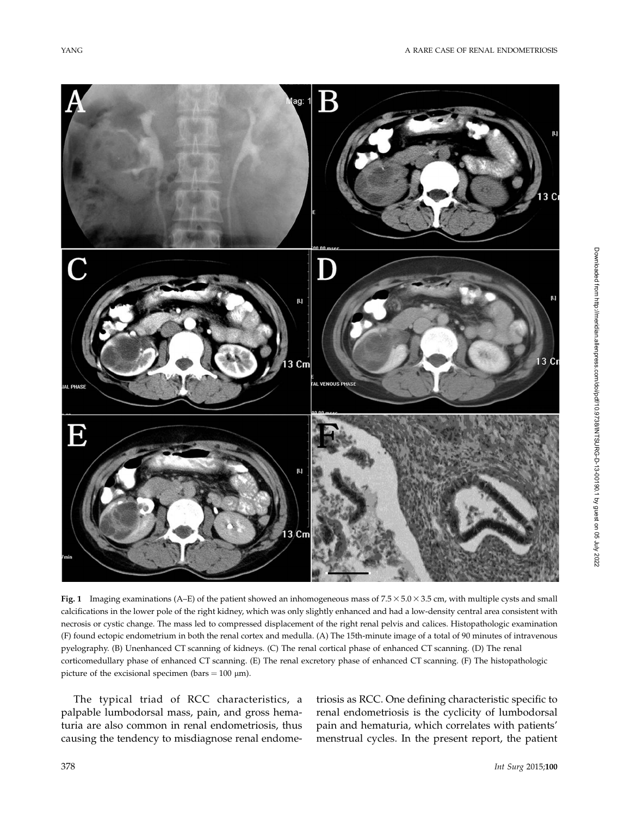



Fig. 1 Imaging examinations (A–E) of the patient showed an inhomogeneous mass of  $7.5 \times 5.0 \times 3.5$  cm, with multiple cysts and small calcifications in the lower pole of the right kidney, which was only slightly enhanced and had a low-density central area consistent with necrosis or cystic change. The mass led to compressed displacement of the right renal pelvis and calices. Histopathologic examination (F) found ectopic endometrium in both the renal cortex and medulla. (A) The 15th-minute image of a total of 90 minutes of intravenous pyelography. (B) Unenhanced CT scanning of kidneys. (C) The renal cortical phase of enhanced CT scanning. (D) The renal corticomedullary phase of enhanced CT scanning. (E) The renal excretory phase of enhanced CT scanning. (F) The histopathologic picture of the excisional specimen (bars =  $100 \mu m$ ).

The typical triad of RCC characteristics, a palpable lumbodorsal mass, pain, and gross hematuria are also common in renal endometriosis, thus causing the tendency to misdiagnose renal endometriosis as RCC. One defining characteristic specific to renal endometriosis is the cyclicity of lumbodorsal pain and hematuria, which correlates with patients' menstrual cycles. In the present report, the patient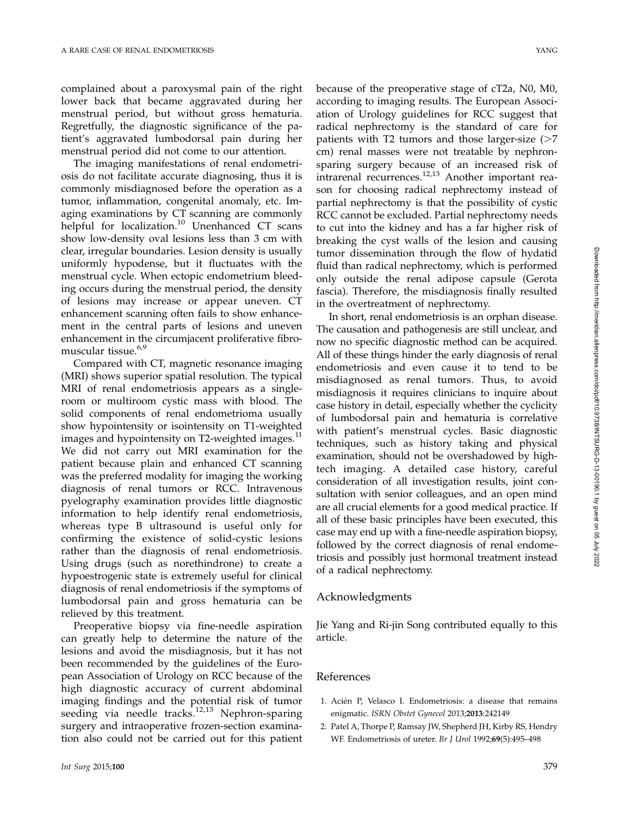complained about a paroxysmal pain of the right lower back that became aggravated during her menstrual period, but without gross hematuria. Regretfully, the diagnostic significance of the patient's aggravated lumbodorsal pain during her menstrual period did not come to our attention.

The imaging manifestations of renal endometriosis do not facilitate accurate diagnosing, thus it is commonly misdiagnosed before the operation as a tumor, inflammation, congenital anomaly, etc. Imaging examinations by CT scanning are commonly helpful for localization.<sup>10</sup> Unenhanced CT scans show low-density oval lesions less than 3 cm with clear, irregular boundaries. Lesion density is usually uniformly hypodense, but it fluctuates with the menstrual cycle. When ectopic endometrium bleeding occurs during the menstrual period, the density of lesions may increase or appear uneven. CT enhancement scanning often fails to show enhancement in the central parts of lesions and uneven enhancement in the circumjacent proliferative fibromuscular tissue.<sup>6,9</sup>

Compared with CT, magnetic resonance imaging (MRI) shows superior spatial resolution. The typical MRI of renal endometriosis appears as a singleroom or multiroom cystic mass with blood. The solid components of renal endometrioma usually show hypointensity or isointensity on T1-weighted images and hypointensity on T2-weighted images.<sup>11</sup> We did not carry out MRI examination for the patient because plain and enhanced CT scanning was the preferred modality for imaging the working diagnosis of renal tumors or RCC. Intravenous pyelography examination provides little diagnostic information to help identify renal endometriosis, whereas type B ultrasound is useful only for confirming the existence of solid-cystic lesions rather than the diagnosis of renal endometriosis. Using drugs (such as norethindrone) to create a hypoestrogenic state is extremely useful for clinical diagnosis of renal endometriosis if the symptoms of lumbodorsal pain and gross hematuria can be relieved by this treatment.

Preoperative biopsy via fine-needle aspiration can greatly help to determine the nature of the lesions and avoid the misdiagnosis, but it has not been recommended by the guidelines of the European Association of Urology on RCC because of the high diagnostic accuracy of current abdominal imaging findings and the potential risk of tumor seeding via needle tracks. $12,13$  Nephron-sparing surgery and intraoperative frozen-section examination also could not be carried out for this patient because of the preoperative stage of cT2a, N0, M0, according to imaging results. The European Association of Urology guidelines for RCC suggest that radical nephrectomy is the standard of care for patients with  $T2$  tumors and those larger-size  $($ cm) renal masses were not treatable by nephronsparing surgery because of an increased risk of intrarenal recurrences.<sup>12,13</sup> Another important reason for choosing radical nephrectomy instead of partial nephrectomy is that the possibility of cystic RCC cannot be excluded. Partial nephrectomy needs to cut into the kidney and has a far higher risk of breaking the cyst walls of the lesion and causing tumor dissemination through the flow of hydatid fluid than radical nephrectomy, which is performed only outside the renal adipose capsule (Gerota fascia). Therefore, the misdiagnosis finally resulted in the overtreatment of nephrectomy.

In short, renal endometriosis is an orphan disease. The causation and pathogenesis are still unclear, and now no specific diagnostic method can be acquired. All of these things hinder the early diagnosis of renal endometriosis and even cause it to tend to be misdiagnosed as renal tumors. Thus, to avoid misdiagnosis it requires clinicians to inquire about case history in detail, especially whether the cyclicity of lumbodorsal pain and hematuria is correlative with patient's menstrual cycles. Basic diagnostic techniques, such as history taking and physical examination, should not be overshadowed by hightech imaging. A detailed case history, careful consideration of all investigation results, joint consultation with senior colleagues, and an open mind are all crucial elements for a good medical practice. If all of these basic principles have been executed, this case may end up with a fine-needle aspiration biopsy, followed by the correct diagnosis of renal endometriosis and possibly just hormonal treatment instead of a radical nephrectomy.

## Acknowledgments

Jie Yang and Ri-jin Song contributed equally to this article.

## References

- 1. Acien P, Velasco I. Endometriosis: a disease that remains ´ enigmatic. ISRN Obstet Gynecol 2013;2013:242149
- 2. Patel A, Thorpe P, Ramsay JW, Shepherd JH, Kirby RS, Hendry WF. Endometriosis of ureter. Br J Urol 1992;69(5):495–498